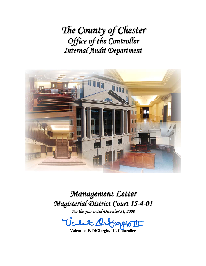*The County of Chester Office of the Controller Internal Audit Department*



*Management Letter Magisterial District Court 15-4-01*

*For the year ended December 31, 2008*

**\_\_\_\_\_\_\_\_\_\_\_\_\_\_\_\_\_\_\_\_\_\_\_\_\_\_\_\_\_\_\_\_\_\_\_\_\_\_\_\_\_** 

**Valentino F. DiGiorgio, III, Controller**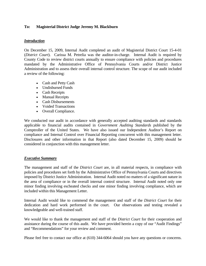## **To: Magisterial District Judge Jeremy M. Blackburn**

## *Introduction*

On December 15, 2009, Internal Audit completed an audit of Magisterial District Court 15-4-01 (*District Court*). Carissa M. Petrelia was the auditor-in-charge. Internal Audit is required by County Code to review district courts annually to ensure compliance with policies and procedures mandated by the Administrative Office of Pennsylvania Courts and/or District Justice Administration and to assess their overall internal control structure. The scope of our audit included a review of the following:

- Cash and Petty Cash
- Undisbursed Funds
- Cash Receipts
- Manual Receipts
- Cash Disbursements
- Voided Transactions
- Overall Compliance.

We conducted our audit in accordance with generally accepted auditing standards and standards applicable to financial audits contained in *Government Auditing Standards* published by the Comptroller of the United States. We have also issued our Independent Auditor's Report on compliance and Internal Control over Financial Reporting concurrent with this management letter. Disclosures and other information in that Report (also dated December 15, 2009) should be considered in conjunction with this management letter.

## *Executive Summary*

The management and staff of the *District Court* are, in all material respects, in compliance with policies and procedures set forth by the Administrative Office of Pennsylvania Courts and directives imposed by District Justice Administration. Internal Audit noted no matters of a significant nature in the area of compliance or in the overall internal control structure. Internal Audit noted only one minor finding involving escheated checks and one minor finding involving compliance, which are included within this Management Letter.

Internal Audit would like to commend the management and staff of the *District Court* for their dedication and hard work performed in the court. Our observations and testing revealed a knowledgeable and well-trained staff.

We would like to thank the management and staff of the *District Court* for their cooperation and assistance during the course of this audit. We have provided herein a copy of our "Audit Findings" and "Recommendations" for your review and comment.

Please feel free to contact our office at (610) 344-6064 should you have any questions or concerns.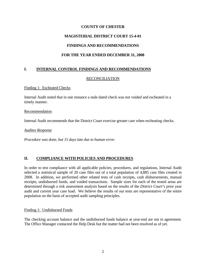## **COUNTY OF CHESTER**

# **MAGISTERIAL DISTRICT COURT 15-4-01**

# **FINDINGS AND RECOMMENDATIONS**

# **FOR THE YEAR ENDED DECEMBER 31, 2008**

# **I. INTERNAL CONTROL FINDINGS AND RECOMMENDATIONS**

## RECONCILIATION

Finding 1: Escheated Checks

Internal Audit noted that in one instance a stale dated check was not voided and escheated in a timely manner.

Recommendation

Internal Audit recommends that the District Court exercise greater care when escheating checks.

*Auditee Response* 

*Procedure was done, but 15 days late due to human error.* 

## **II. COMPLIANCE WITH POLICIES AND PROCEDURES**

In order to test compliance with all applicable policies, procedures, and regulations, Internal Audit selected a statistical sample of 20 case files out of a total population of 4,885 case files created in 2008. In addition, we performed other related tests of cash receipts, cash disbursements, manual receipts, undisbursed funds, and voided transactions. Sample sizes for each of the tested areas are determined through a risk assessment analysis based on the results of the *District Court's* prior year audit and current year case load. We believe the results of our tests are representative of the entire population on the basis of accepted audit sampling principles.

Finding 1: Undisbursed Funds

The checking account balance and the undisbursed funds balance at year-end are not in agreement. The Office Manager contacted the Help Desk but the matter had not been resolved as of yet.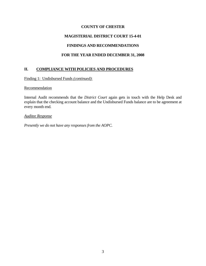## **COUNTY OF CHESTER**

# **MAGISTERIAL DISTRICT COURT 15-4-01**

## **FINDINGS AND RECOMMENDATIONS**

# **FOR THE YEAR ENDED DECEMBER 31, 2008**

# **II. COMPLIANCE WITH POLICIES AND PROCEDURES**

Finding 1: Undisbursed Funds *(continued)*:

#### **Recommendation**

Internal Audit recommends that the *District Court* again gets in touch with the Help Desk and explain that the checking account balance and the Undisbursed Funds balance are to be agreement at every month end.

#### *Auditee Response*

*Presently we do not have any responses from the AOPC.*